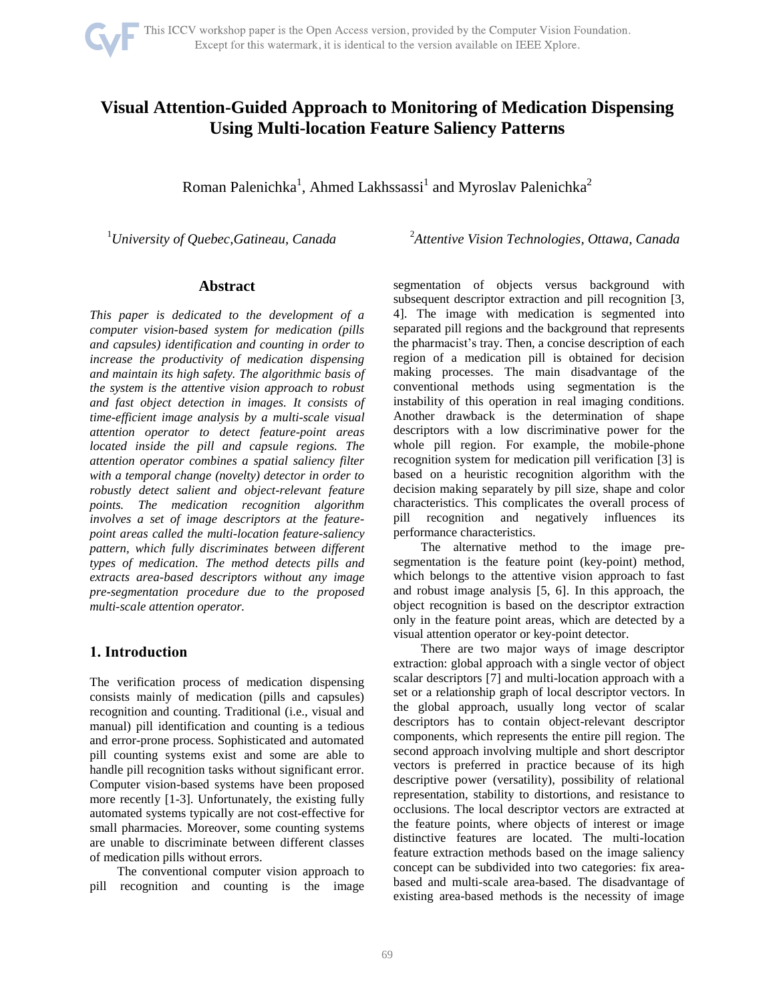# **Visual Attention-Guided Approach to Monitoring of Medication Dispensing Using Multi-location Feature Saliency Patterns**

Roman Palenichka<sup>1</sup>, Ahmed Lakhssassi<sup>1</sup> and Myroslav Palenichka<sup>2</sup>

<sup>1</sup>*University of Quebec,Gatineau, Canada* <sup>2</sup>*Attentive Vision Technologies, Ottawa, Canada* 

## **Abstract**

*This paper is dedicated to the development of a computer vision-based system for medication (pills and capsules) identification and counting in order to increase the productivity of medication dispensing and maintain its high safety. The algorithmic basis of the system is the attentive vision approach to robust and fast object detection in images. It consists of time-efficient image analysis by a multi-scale visual attention operator to detect feature-point areas located inside the pill and capsule regions. The attention operator combines a spatial saliency filter with a temporal change (novelty) detector in order to robustly detect salient and object-relevant feature points. The medication recognition algorithm involves a set of image descriptors at the featurepoint areas called the multi-location feature-saliency pattern, which fully discriminates between different types of medication. The method detects pills and extracts area-based descriptors without any image pre-segmentation procedure due to the proposed multi-scale attention operator.* 

## **1. Introduction**

The verification process of medication dispensing consists mainly of medication (pills and capsules) recognition and counting. Traditional (i.e., visual and manual) pill identification and counting is a tedious and error-prone process. Sophisticated and automated pill counting systems exist and some are able to handle pill recognition tasks without significant error. Computer vision-based systems have been proposed more recently [1-3]. Unfortunately, the existing fully automated systems typically are not cost-effective for small pharmacies. Moreover, some counting systems are unable to discriminate between different classes of medication pills without errors.

The conventional computer vision approach to pill recognition and counting is the image

segmentation of objects versus background with subsequent descriptor extraction and pill recognition [3, 4]. The image with medication is segmented into separated pill regions and the background that represents the pharmacist's tray. Then, a concise description of each region of a medication pill is obtained for decision making processes. The main disadvantage of the conventional methods using segmentation is the instability of this operation in real imaging conditions. Another drawback is the determination of shape descriptors with a low discriminative power for the whole pill region. For example, the mobile-phone recognition system for medication pill verification [3] is based on a heuristic recognition algorithm with the decision making separately by pill size, shape and color characteristics. This complicates the overall process of pill recognition and negatively influences its performance characteristics.

The alternative method to the image presegmentation is the feature point (key-point) method, which belongs to the attentive vision approach to fast and robust image analysis [5, 6]. In this approach, the object recognition is based on the descriptor extraction only in the feature point areas, which are detected by a visual attention operator or key-point detector.

There are two major ways of image descriptor extraction: global approach with a single vector of object scalar descriptors [7] and multi-location approach with a set or a relationship graph of local descriptor vectors. In the global approach, usually long vector of scalar descriptors has to contain object-relevant descriptor components, which represents the entire pill region. The second approach involving multiple and short descriptor vectors is preferred in practice because of its high descriptive power (versatility), possibility of relational representation, stability to distortions, and resistance to occlusions. The local descriptor vectors are extracted at the feature points, where objects of interest or image distinctive features are located. The multi-location feature extraction methods based on the image saliency concept can be subdivided into two categories: fix areabased and multi-scale area-based. The disadvantage of existing area-based methods is the necessity of image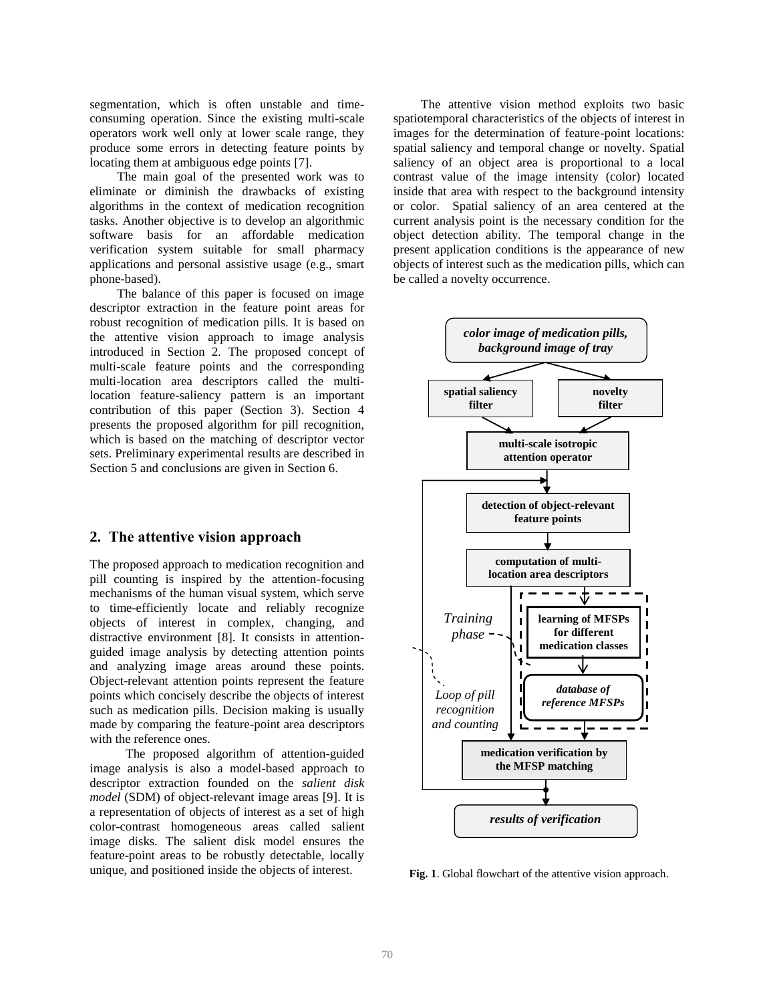segmentation, which is often unstable and timeconsuming operation. Since the existing multi-scale operators work well only at lower scale range, they produce some errors in detecting feature points by locating them at ambiguous edge points [7].

The main goal of the presented work was to eliminate or diminish the drawbacks of existing algorithms in the context of medication recognition tasks. Another objective is to develop an algorithmic software basis for an affordable medication verification system suitable for small pharmacy applications and personal assistive usage (e.g., smart phone-based).

The balance of this paper is focused on image descriptor extraction in the feature point areas for robust recognition of medication pills. It is based on the attentive vision approach to image analysis introduced in Section 2. The proposed concept of multi-scale feature points and the corresponding multi-location area descriptors called the multilocation feature-saliency pattern is an important contribution of this paper (Section 3). Section 4 presents the proposed algorithm for pill recognition, which is based on the matching of descriptor vector sets. Preliminary experimental results are described in Section 5 and conclusions are given in Section 6.

### **2. The attentive vision approach**

The proposed approach to medication recognition and pill counting is inspired by the attention-focusing mechanisms of the human visual system, which serve to time-efficiently locate and reliably recognize objects of interest in complex, changing, and distractive environment [8]. It consists in attentionguided image analysis by detecting attention points and analyzing image areas around these points. Object-relevant attention points represent the feature points which concisely describe the objects of interest such as medication pills. Decision making is usually made by comparing the feature-point area descriptors with the reference ones.

The proposed algorithm of attention-guided image analysis is also a model-based approach to descriptor extraction founded on the *salient disk model* (SDM) of object-relevant image areas [9]. It is a representation of objects of interest as a set of high color-contrast homogeneous areas called salient image disks. The salient disk model ensures the feature-point areas to be robustly detectable, locally unique, and positioned inside the objects of interest.

The attentive vision method exploits two basic spatiotemporal characteristics of the objects of interest in images for the determination of feature-point locations: spatial saliency and temporal change or novelty. Spatial saliency of an object area is proportional to a local contrast value of the image intensity (color) located inside that area with respect to the background intensity or color. Spatial saliency of an area centered at the current analysis point is the necessary condition for the object detection ability. The temporal change in the present application conditions is the appearance of new objects of interest such as the medication pills, which can be called a novelty occurrence.



**Fig. 1**. Global flowchart of the attentive vision approach.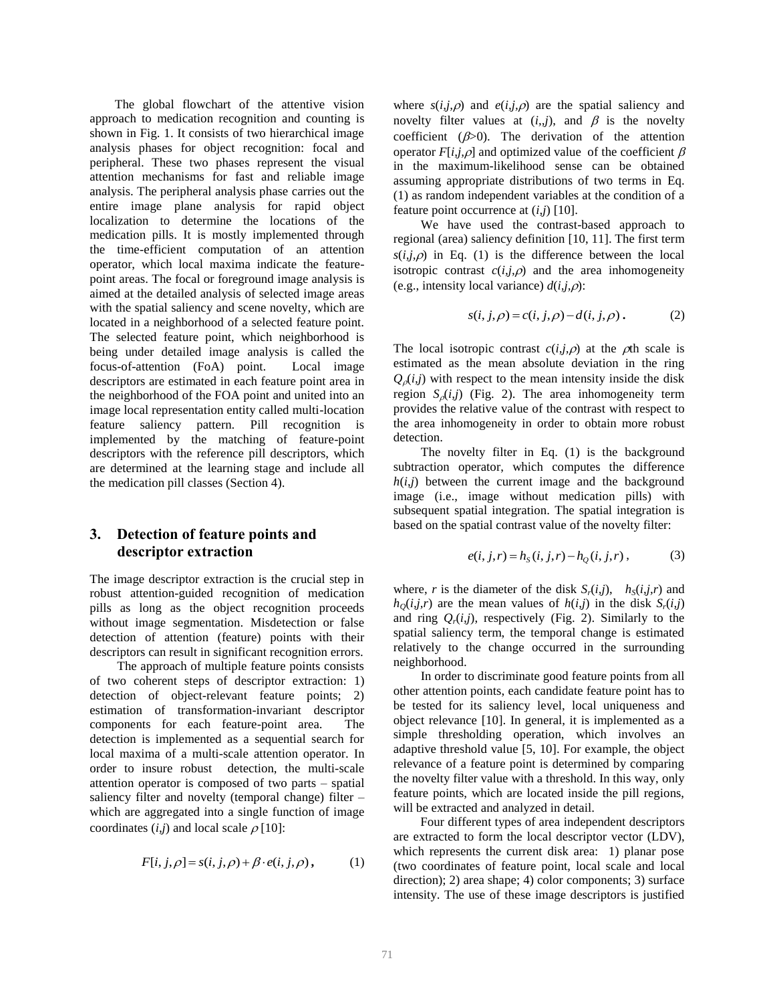The global flowchart of the attentive vision approach to medication recognition and counting is shown in Fig. 1. It consists of two hierarchical image analysis phases for object recognition: focal and peripheral. These two phases represent the visual attention mechanisms for fast and reliable image analysis. The peripheral analysis phase carries out the entire image plane analysis for rapid object localization to determine the locations of the medication pills. It is mostly implemented through the time-efficient computation of an attention operator, which local maxima indicate the featurepoint areas. The focal or foreground image analysis is aimed at the detailed analysis of selected image areas with the spatial saliency and scene novelty, which are located in a neighborhood of a selected feature point. The selected feature point, which neighborhood is being under detailed image analysis is called the focus-of-attention (FoA) point. Local image descriptors are estimated in each feature point area in the neighborhood of the FOA point and united into an image local representation entity called multi-location feature saliency pattern. Pill recognition is implemented by the matching of feature-point descriptors with the reference pill descriptors, which are determined at the learning stage and include all the medication pill classes (Section 4).

## **3. Detection of feature points and descriptor extraction**

The image descriptor extraction is the crucial step in robust attention-guided recognition of medication pills as long as the object recognition proceeds without image segmentation. Misdetection or false detection of attention (feature) points with their descriptors can result in significant recognition errors.

The approach of multiple feature points consists of two coherent steps of descriptor extraction: 1) detection of object-relevant feature points; 2) estimation of transformation-invariant descriptor components for each feature-point area. The detection is implemented as a sequential search for local maxima of a multi-scale attention operator. In order to insure robust detection, the multi-scale attention operator is composed of two parts – spatial saliency filter and novelty (temporal change) filter – which are aggregated into a single function of image coordinates  $(i, j)$  and local scale  $\rho$  [10]:

$$
F[i, j, \rho] = s(i, j, \rho) + \beta \cdot e(i, j, \rho), \quad (1)
$$

where  $s(i,j,\rho)$  and  $e(i,j,\rho)$  are the spatial saliency and novelty filter values at  $(i,j)$ , and  $\beta$  is the novelty coefficient  $(\beta > 0)$ . The derivation of the attention operator  $F[i, j]$  and optimized value of the coefficient  $\beta$ in the maximum-likelihood sense can be obtained assuming appropriate distributions of two terms in Eq. (1) as random independent variables at the condition of a feature point occurrence at (*i,j*) [10].

We have used the contrast-based approach to regional (area) saliency definition [10, 11]. The first term  $s(i,j,\rho)$  in Eq. (1) is the difference between the local isotropic contrast  $c(i,j,\rho)$  and the area inhomogeneity (e.g., intensity local variance)  $d(i,j,\rho)$ :

$$
s(i, j, \rho) = c(i, j, \rho) - d(i, j, \rho).
$$
 (2)

The local isotropic contrast  $c(i,j,\rho)$  at the  $\rho$ th scale is estimated as the mean absolute deviation in the ring  $Q_{\rho}(i,j)$  with respect to the mean intensity inside the disk region  $S_o(i,j)$  (Fig. 2). The area inhomogeneity term provides the relative value of the contrast with respect to the area inhomogeneity in order to obtain more robust detection.

The novelty filter in Eq. (1) is the background subtraction operator, which computes the difference  $h(i,j)$  between the current image and the background image (i.e., image without medication pills) with subsequent spatial integration. The spatial integration is based on the spatial contrast value of the novelty filter:

$$
e(i, j, r) = hS(i, j, r) - hQ(i, j, r),
$$
 (3)

where, *r* is the diameter of the disk  $S_r(i,j)$ ,  $h_S(i,j,r)$  and  $h<sub>O</sub>(i,j,r)$  are the mean values of  $h(i,j)$  in the disk  $S<sub>r</sub>(i,j)$ and ring  $Q_r(i,j)$ , respectively (Fig. 2). Similarly to the spatial saliency term, the temporal change is estimated relatively to the change occurred in the surrounding neighborhood.

In order to discriminate good feature points from all other attention points, each candidate feature point has to be tested for its saliency level, local uniqueness and object relevance [10]. In general, it is implemented as a simple thresholding operation, which involves an adaptive threshold value [5, 10]. For example, the object relevance of a feature point is determined by comparing the novelty filter value with a threshold. In this way, only feature points, which are located inside the pill regions, will be extracted and analyzed in detail.

Four different types of area independent descriptors are extracted to form the local descriptor vector (LDV), which represents the current disk area: 1) planar pose (two coordinates of feature point, local scale and local direction); 2) area shape; 4) color components; 3) surface intensity. The use of these image descriptors is justified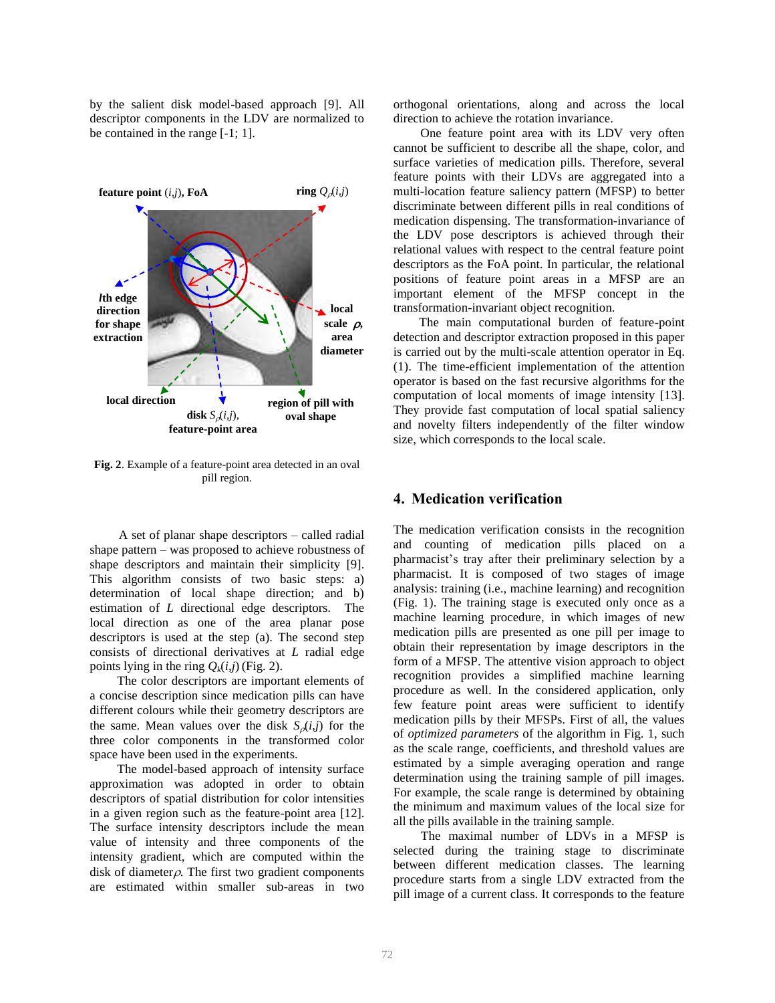by the salient disk model-based approach [9]. All descriptor components in the LDV are normalized to be contained in the range [-1; 1].



**Fig. 2**. Example of a feature-point area detected in an oval pill region.

A set of planar shape descriptors – called radial shape pattern – was proposed to achieve robustness of shape descriptors and maintain their simplicity [9]. This algorithm consists of two basic steps: a) determination of local shape direction; and b) estimation of *L* directional edge descriptors. The local direction as one of the area planar pose descriptors is used at the step (a). The second step consists of directional derivatives at *L* radial edge points lying in the ring  $Q_k(i,j)$  (Fig. 2).

The color descriptors are important elements of a concise description since medication pills can have different colours while their geometry descriptors are the same. Mean values over the disk  $S_0(i,j)$  for the three color components in the transformed color space have been used in the experiments.

The model-based approach of intensity surface approximation was adopted in order to obtain descriptors of spatial distribution for color intensities in a given region such as the feature-point area [12]. The surface intensity descriptors include the mean value of intensity and three components of the intensity gradient, which are computed within the disk of diameter $\rho$ . The first two gradient components are estimated within smaller sub-areas in two

orthogonal orientations, along and across the local direction to achieve the rotation invariance.

One feature point area with its LDV very often cannot be sufficient to describe all the shape, color, and surface varieties of medication pills. Therefore, several feature points with their LDVs are aggregated into a multi-location feature saliency pattern (MFSP) to better discriminate between different pills in real conditions of medication dispensing. The transformation-invariance of the LDV pose descriptors is achieved through their relational values with respect to the central feature point descriptors as the FoA point. In particular, the relational positions of feature point areas in a MFSP are an important element of the MFSP concept in the transformation-invariant object recognition.

The main computational burden of feature-point detection and descriptor extraction proposed in this paper is carried out by the multi-scale attention operator in Eq. (1). The time-efficient implementation of the attention operator is based on the fast recursive algorithms for the computation of local moments of image intensity [13]. They provide fast computation of local spatial saliency and novelty filters independently of the filter window size, which corresponds to the local scale.

#### **4. Medication verification**

The medication verification consists in the recognition and counting of medication pills placed on a pharmacist's tray after their preliminary selection by a pharmacist. It is composed of two stages of image analysis: training (i.e., machine learning) and recognition (Fig. 1). The training stage is executed only once as a machine learning procedure, in which images of new medication pills are presented as one pill per image to obtain their representation by image descriptors in the form of a MFSP. The attentive vision approach to object recognition provides a simplified machine learning procedure as well. In the considered application, only few feature point areas were sufficient to identify medication pills by their MFSPs. First of all, the values of *optimized parameters* of the algorithm in Fig. 1, such as the scale range, coefficients, and threshold values are estimated by a simple averaging operation and range determination using the training sample of pill images. For example, the scale range is determined by obtaining the minimum and maximum values of the local size for all the pills available in the training sample.

The maximal number of LDVs in a MFSP is selected during the training stage to discriminate between different medication classes. The learning procedure starts from a single LDV extracted from the pill image of a current class. It corresponds to the feature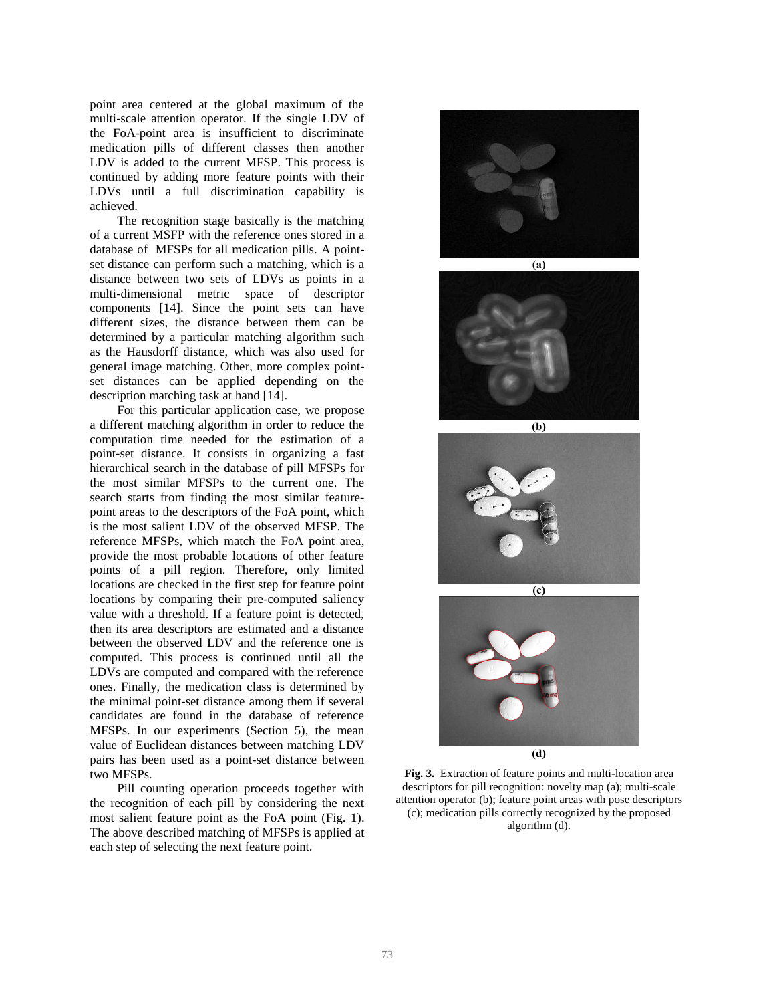point area centered at the global maximum of the multi-scale attention operator. If the single LDV of the FoA-point area is insufficient to discriminate medication pills of different classes then another LDV is added to the current MFSP. This process is continued by adding more feature points with their LDVs until a full discrimination capability is achieved.

The recognition stage basically is the matching of a current MSFP with the reference ones stored in a database of MFSPs for all medication pills. A pointset distance can perform such a matching, which is a distance between two sets of LDVs as points in a multi-dimensional metric space of descriptor components [14]. Since the point sets can have different sizes, the distance between them can be determined by a particular matching algorithm such as the Hausdorff distance, which was also used for general image matching. Other, more complex pointset distances can be applied depending on the description matching task at hand [14].

For this particular application case, we propose a different matching algorithm in order to reduce the computation time needed for the estimation of a point-set distance. It consists in organizing a fast hierarchical search in the database of pill MFSPs for the most similar MFSPs to the current one. The search starts from finding the most similar featurepoint areas to the descriptors of the FoA point, which is the most salient LDV of the observed MFSP. The reference MFSPs, which match the FoA point area, provide the most probable locations of other feature points of a pill region. Therefore, only limited locations are checked in the first step for feature point locations by comparing their pre-computed saliency value with a threshold. If a feature point is detected, then its area descriptors are estimated and a distance between the observed LDV and the reference one is computed. This process is continued until all the LDVs are computed and compared with the reference ones. Finally, the medication class is determined by the minimal point-set distance among them if several candidates are found in the database of reference MFSPs. In our experiments (Section 5), the mean value of Euclidean distances between matching LDV pairs has been used as a point-set distance between two MFSPs.

Pill counting operation proceeds together with the recognition of each pill by considering the next most salient feature point as the FoA point (Fig. 1). The above described matching of MFSPs is applied at each step of selecting the next feature point.







**Fig. 3.** Extraction of feature points and multi-location area descriptors for pill recognition: novelty map (a); multi-scale attention operator (b); feature point areas with pose descriptors (c); medication pills correctly recognized by the proposed algorithm (d).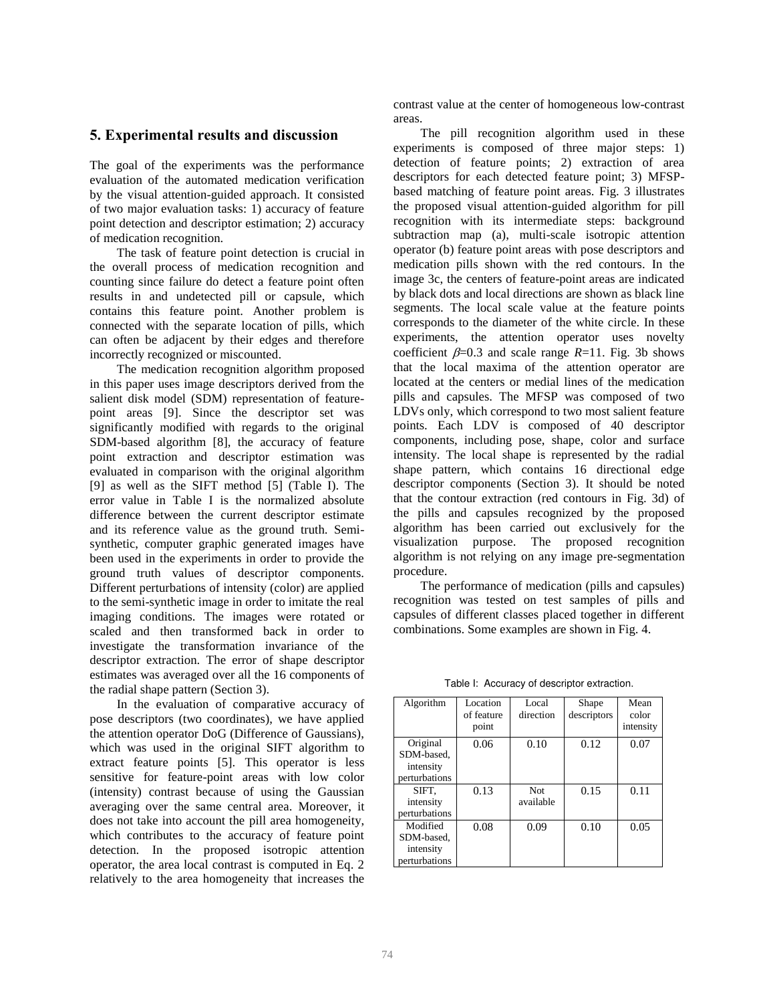#### **5. Experimental results and discussion**

The goal of the experiments was the performance evaluation of the automated medication verification by the visual attention-guided approach. It consisted of two major evaluation tasks: 1) accuracy of feature point detection and descriptor estimation; 2) accuracy of medication recognition.

The task of feature point detection is crucial in the overall process of medication recognition and counting since failure do detect a feature point often results in and undetected pill or capsule, which contains this feature point. Another problem is connected with the separate location of pills, which can often be adjacent by their edges and therefore incorrectly recognized or miscounted.

The medication recognition algorithm proposed in this paper uses image descriptors derived from the salient disk model (SDM) representation of featurepoint areas [9]. Since the descriptor set was significantly modified with regards to the original SDM-based algorithm [8], the accuracy of feature point extraction and descriptor estimation was evaluated in comparison with the original algorithm [9] as well as the SIFT method [5] (Table I). The error value in Table I is the normalized absolute difference between the current descriptor estimate and its reference value as the ground truth. Semisynthetic, computer graphic generated images have been used in the experiments in order to provide the ground truth values of descriptor components. Different perturbations of intensity (color) are applied to the semi-synthetic image in order to imitate the real imaging conditions. The images were rotated or scaled and then transformed back in order to investigate the transformation invariance of the descriptor extraction. The error of shape descriptor estimates was averaged over all the 16 components of the radial shape pattern (Section 3).

In the evaluation of comparative accuracy of pose descriptors (two coordinates), we have applied the attention operator DoG (Difference of Gaussians), which was used in the original SIFT algorithm to extract feature points [5]. This operator is less sensitive for feature-point areas with low color (intensity) contrast because of using the Gaussian averaging over the same central area. Moreover, it does not take into account the pill area homogeneity, which contributes to the accuracy of feature point detection. In the proposed isotropic attention operator, the area local contrast is computed in Eq. 2 relatively to the area homogeneity that increases the

contrast value at the center of homogeneous low-contrast areas.

The pill recognition algorithm used in these experiments is composed of three major steps: 1) detection of feature points; 2) extraction of area descriptors for each detected feature point; 3) MFSPbased matching of feature point areas. Fig. 3 illustrates the proposed visual attention-guided algorithm for pill recognition with its intermediate steps: background subtraction map (a), multi-scale isotropic attention operator (b) feature point areas with pose descriptors and medication pills shown with the red contours. In the image 3c, the centers of feature-point areas are indicated by black dots and local directions are shown as black line segments. The local scale value at the feature points corresponds to the diameter of the white circle. In these experiments, the attention operator uses novelty coefficient  $\beta$ =0.3 and scale range *R*=11. Fig. 3b shows that the local maxima of the attention operator are located at the centers or medial lines of the medication pills and capsules. The MFSP was composed of two LDVs only, which correspond to two most salient feature points. Each LDV is composed of 40 descriptor components, including pose, shape, color and surface intensity. The local shape is represented by the radial shape pattern, which contains 16 directional edge descriptor components (Section 3). It should be noted that the contour extraction (red contours in Fig. 3d) of the pills and capsules recognized by the proposed algorithm has been carried out exclusively for the visualization purpose. The proposed recognition algorithm is not relying on any image pre-segmentation procedure.

The performance of medication (pills and capsules) recognition was tested on test samples of pills and capsules of different classes placed together in different combinations. Some examples are shown in Fig. 4.

| Algorithm     | Location<br>of feature<br>point | Local<br>direction | Shape<br>descriptors | Mean<br>color<br>intensity |
|---------------|---------------------------------|--------------------|----------------------|----------------------------|
|               |                                 |                    |                      |                            |
| Original      | 0.06                            | 0.10               | 0.12                 | 0.07                       |
| SDM-based.    |                                 |                    |                      |                            |
| intensity     |                                 |                    |                      |                            |
| perturbations |                                 |                    |                      |                            |
| SIFT.         | 0.13                            | <b>Not</b>         | 0.15                 | 0.11                       |
| intensity     |                                 | available          |                      |                            |
| perturbations |                                 |                    |                      |                            |
| Modified      | 0.08                            | 0.09               | 0.10                 | 0.05                       |
| SDM-based.    |                                 |                    |                      |                            |
| intensity     |                                 |                    |                      |                            |
| perturbations |                                 |                    |                      |                            |

Table I: Accuracy of descriptor extraction.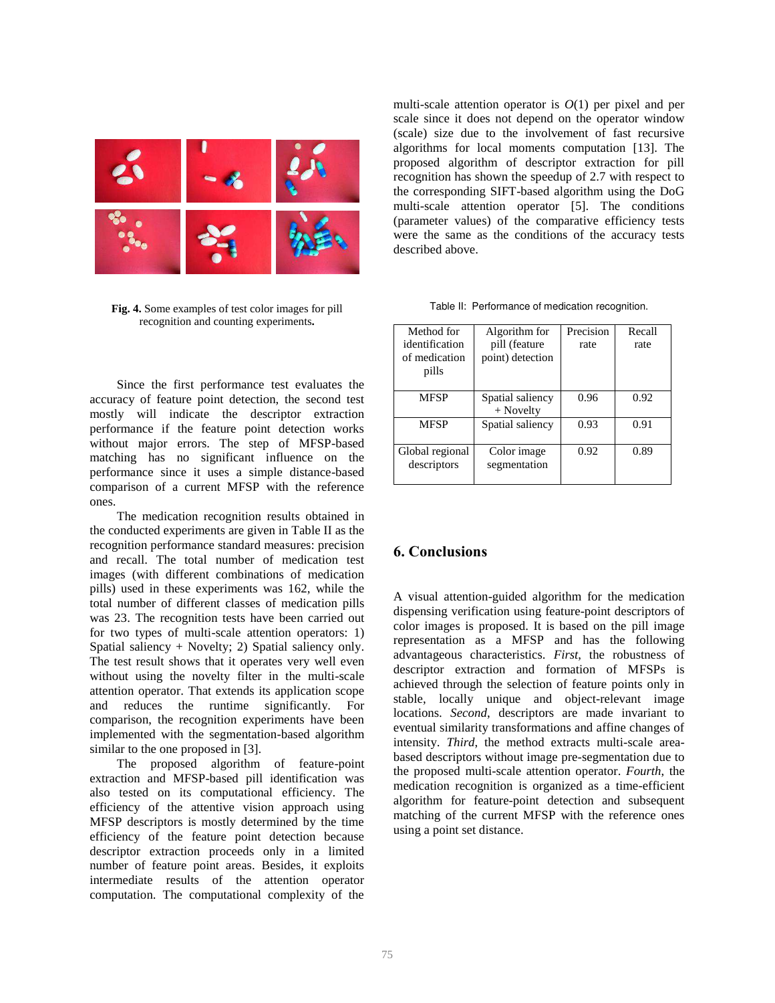

**Fig. 4.** Some examples of test color images for pill recognition and counting experiments**.** 

Since the first performance test evaluates the accuracy of feature point detection, the second test mostly will indicate the descriptor extraction performance if the feature point detection works without major errors. The step of MFSP-based matching has no significant influence on the performance since it uses a simple distance-based comparison of a current MFSP with the reference ones.

The medication recognition results obtained in the conducted experiments are given in Table II as the recognition performance standard measures: precision and recall. The total number of medication test images (with different combinations of medication pills) used in these experiments was 162, while the total number of different classes of medication pills was 23. The recognition tests have been carried out for two types of multi-scale attention operators: 1) Spatial saliency + Novelty; 2) Spatial saliency only. The test result shows that it operates very well even without using the novelty filter in the multi-scale attention operator. That extends its application scope and reduces the runtime significantly. For comparison, the recognition experiments have been implemented with the segmentation-based algorithm similar to the one proposed in [3].

The proposed algorithm of feature-point extraction and MFSP-based pill identification was also tested on its computational efficiency. The efficiency of the attentive vision approach using MFSP descriptors is mostly determined by the time efficiency of the feature point detection because descriptor extraction proceeds only in a limited number of feature point areas. Besides, it exploits intermediate results of the attention operator computation. The computational complexity of the multi-scale attention operator is *O*(1) per pixel and per scale since it does not depend on the operator window (scale) size due to the involvement of fast recursive algorithms for local moments computation [13]. The proposed algorithm of descriptor extraction for pill recognition has shown the speedup of 2.7 with respect to the corresponding SIFT-based algorithm using the DoG multi-scale attention operator [5]. The conditions (parameter values) of the comparative efficiency tests were the same as the conditions of the accuracy tests described above.

|  | Table II: Performance of medication recognition. |  |  |
|--|--------------------------------------------------|--|--|
|--|--------------------------------------------------|--|--|

| Method for      | Algorithm for    | Precision | Recall |
|-----------------|------------------|-----------|--------|
| identification  | pill (feature    | rate      | rate   |
| of medication   | point) detection |           |        |
| pills           |                  |           |        |
|                 |                  |           |        |
| <b>MFSP</b>     | Spatial saliency | 0.96      | 0.92   |
|                 | + Novelty        |           |        |
| <b>MFSP</b>     | Spatial saliency | 0.93      | 0.91   |
|                 |                  |           |        |
| Global regional | Color image      | 0.92      | 0.89   |
| descriptors     | segmentation     |           |        |
|                 |                  |           |        |
|                 |                  |           |        |

## **6. Conclusions**

A visual attention-guided algorithm for the medication dispensing verification using feature-point descriptors of color images is proposed. It is based on the pill image representation as a MFSP and has the following advantageous characteristics. *First*, the robustness of descriptor extraction and formation of MFSPs is achieved through the selection of feature points only in stable, locally unique and object-relevant image locations. *Second*, descriptors are made invariant to eventual similarity transformations and affine changes of intensity. *Third*, the method extracts multi-scale areabased descriptors without image pre-segmentation due to the proposed multi-scale attention operator. *Fourth*, the medication recognition is organized as a time-efficient algorithm for feature-point detection and subsequent matching of the current MFSP with the reference ones using a point set distance.